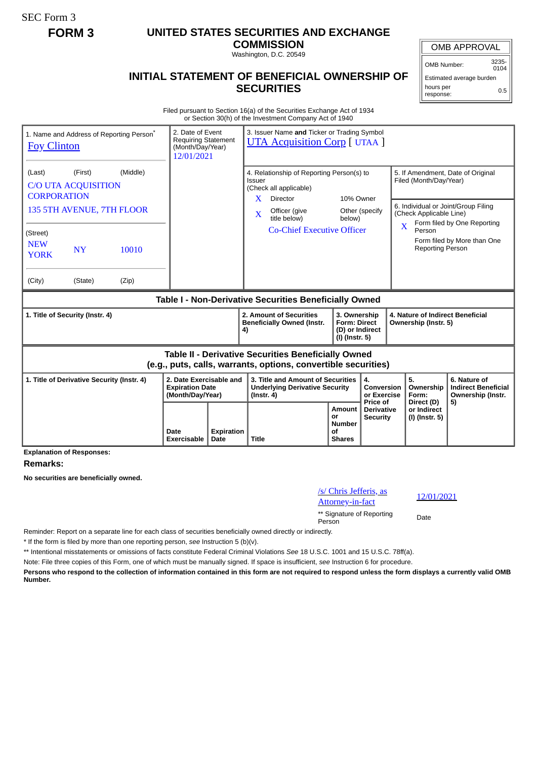SEC Form 3

## **FORM 3 UNITED STATES SECURITIES AND EXCHANGE**

**COMMISSION** Washington, D.C. 20549

## **INITIAL STATEMENT OF BENEFICIAL OWNERSHIP OF SECURITIES**

OMB APPROVAL

Estimated average burden hours per 0.5

Filed pursuant to Section 16(a) of the Securities Exchange Act of 1934 or Section 30(h) of the Investment Company Act of 1940

| 1. Name and Address of Reporting Person <sup>®</sup><br><b>Foy Clinton</b>                                                   | 2. Date of Event<br><b>Requiring Statement</b><br>(Month/Day/Year)<br>12/01/2021 |                           |                                                                                                | 3. Issuer Name and Ticker or Trading Symbol<br><b>UTA Acquisition Corp</b> [ UTAA ]                                                                          |                                                                          |                                                  |                                                                                                                                                                    |                                                                 |  |
|------------------------------------------------------------------------------------------------------------------------------|----------------------------------------------------------------------------------|---------------------------|------------------------------------------------------------------------------------------------|--------------------------------------------------------------------------------------------------------------------------------------------------------------|--------------------------------------------------------------------------|--------------------------------------------------|--------------------------------------------------------------------------------------------------------------------------------------------------------------------|-----------------------------------------------------------------|--|
| (Middle)<br>(Last)<br>(First)<br><b>C/O UTA ACQUISITION</b><br><b>CORPORATION</b><br>135 5TH AVENUE, 7TH FLOOR<br>(Street)   |                                                                                  |                           | Issuer<br>$\mathbf{X}$<br>X                                                                    | 4. Relationship of Reporting Person(s) to<br>(Check all applicable)<br><b>Director</b><br>Officer (give<br>title below)<br><b>Co-Chief Executive Officer</b> | 10% Owner<br>below)                                                      | Other (specify                                   | 5. If Amendment, Date of Original<br>Filed (Month/Day/Year)<br>6. Individual or Joint/Group Filing<br>(Check Applicable Line)<br>$\overline{\mathbf{X}}$<br>Person | Form filed by One Reporting<br>Form filed by More than One      |  |
| <b>NEW</b><br><b>NY</b><br>10010<br><b>YORK</b><br>(City)<br>(State)<br>(Zip)                                                |                                                                                  |                           |                                                                                                |                                                                                                                                                              |                                                                          |                                                  | <b>Reporting Person</b>                                                                                                                                            |                                                                 |  |
| Table I - Non-Derivative Securities Beneficially Owned                                                                       |                                                                                  |                           |                                                                                                |                                                                                                                                                              |                                                                          |                                                  |                                                                                                                                                                    |                                                                 |  |
| 1. Title of Security (Instr. 4)                                                                                              |                                                                                  |                           | 4)                                                                                             | 2. Amount of Securities<br><b>Beneficially Owned (Instr.</b>                                                                                                 | 3. Ownership<br><b>Form: Direct</b><br>(D) or Indirect<br>(I) (Instr. 5) |                                                  | 4. Nature of Indirect Beneficial<br>Ownership (Instr. 5)                                                                                                           |                                                                 |  |
| <b>Table II - Derivative Securities Beneficially Owned</b><br>(e.g., puts, calls, warrants, options, convertible securities) |                                                                                  |                           |                                                                                                |                                                                                                                                                              |                                                                          |                                                  |                                                                                                                                                                    |                                                                 |  |
| 1. Title of Derivative Security (Instr. 4)                                                                                   | 2. Date Exercisable and<br><b>Expiration Date</b><br>(Month/Day/Year)            |                           | 3. Title and Amount of Securities<br><b>Underlying Derivative Security</b><br>$($ lnstr. 4 $)$ |                                                                                                                                                              |                                                                          | 4.<br>Conversion<br>or Exercise                  | 5.<br>Ownership<br>Form:                                                                                                                                           | 6. Nature of<br><b>Indirect Beneficial</b><br>Ownership (Instr. |  |
|                                                                                                                              | Date<br>Exercisable                                                              | <b>Expiration</b><br>Date | <b>Title</b>                                                                                   |                                                                                                                                                              | Amount<br>or<br><b>Number</b><br>οf<br><b>Shares</b>                     | Price of<br><b>Derivative</b><br><b>Security</b> | Direct (D)<br>or Indirect<br>(I) (Instr. 5)                                                                                                                        | 5)                                                              |  |

**Explanation of Responses:**

## **Remarks:**

**No securities are beneficially owned.**

| /s/ Chris Jefferis, as<br><b>Attorney-in-fact</b> | 12/  |
|---------------------------------------------------|------|
| ** Signature of Reporting<br>Person               | Date |

Attorney-in-fact 12/01/2021

Reminder: Report on a separate line for each class of securities beneficially owned directly or indirectly.

\* If the form is filed by more than one reporting person, *see* Instruction 5 (b)(v).

\*\* Intentional misstatements or omissions of facts constitute Federal Criminal Violations *See* 18 U.S.C. 1001 and 15 U.S.C. 78ff(a).

Note: File three copies of this Form, one of which must be manually signed. If space is insufficient, *see* Instruction 6 for procedure.

**Persons who respond to the collection of information contained in this form are not required to respond unless the form displays a currently valid OMB Number.**

OMB Number: 3235-  $0104$ 

response: